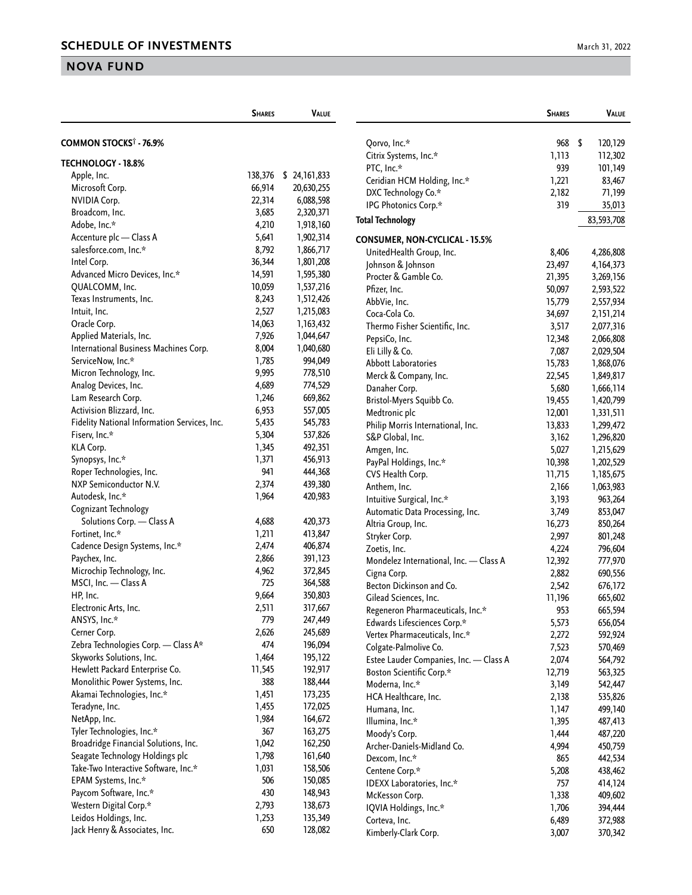|                                              | <b>SHARES</b>  | <b>VALUE</b>          |                                        | <b>SHARES</b> | VALUE       |
|----------------------------------------------|----------------|-----------------------|----------------------------------------|---------------|-------------|
| COMMON STOCKS <sup>†</sup> - 76.9%           |                |                       | Qorvo, Inc.*                           | 968 \$        | 120,129     |
| TECHNOLOGY - 18.8%                           |                |                       | Citrix Systems, Inc.*                  | 1,113         | 112,302     |
|                                              |                |                       | PTC, Inc.*                             | 939           | 101,149     |
| Apple, Inc.                                  | 66,914         | 138,376 \$ 24,161,833 | Ceridian HCM Holding, Inc.*            | 1,221         | 83,467      |
| Microsoft Corp.                              | 22,314         | 20,630,255            | DXC Technology Co.*                    | 2,182         | 71,199      |
| <b>NVIDIA Corp.</b>                          |                | 6,088,598             | IPG Photonics Corp.*                   | 319           | 35,013      |
| Broadcom, Inc.                               | 3,685          | 2,320,371             | <b>Total Technology</b>                |               | 83,593,708  |
| Adobe, Inc.*                                 | 4,210          | 1,918,160             |                                        |               |             |
| Accenture plc - Class A                      | 5,641<br>8,792 | 1,902,314             | <b>CONSUMER, NON-CYCLICAL - 15.5%</b>  |               |             |
| salesforce.com, Inc.*<br>Intel Corp.         | 36,344         | 1,866,717             | UnitedHealth Group, Inc.               | 8,406         | 4,286,808   |
| Advanced Micro Devices, Inc.*                | 14,591         | 1,801,208             | Johnson & Johnson                      | 23,497        | 4, 164, 373 |
|                                              |                | 1,595,380             | Procter & Gamble Co.                   | 21,395        | 3,269,156   |
| QUALCOMM, Inc.                               | 10,059         | 1,537,216             | Pfizer, Inc.                           | 50,097        | 2,593,522   |
| Texas Instruments, Inc.                      | 8,243          | 1,512,426             | AbbVie, Inc.                           | 15,779        | 2,557,934   |
| Intuit, Inc.                                 | 2,527          | 1,215,083             | Coca-Cola Co.                          | 34,697        | 2,151,214   |
| Oracle Corp.                                 | 14,063         | 1,163,432             | Thermo Fisher Scientific, Inc.         | 3,517         | 2,077,316   |
| Applied Materials, Inc.                      | 7,926          | 1,044,647             | PepsiCo, Inc.                          | 12,348        | 2,066,808   |
| International Business Machines Corp.        | 8,004          | 1,040,680             | Eli Lilly & Co.                        | 7,087         | 2,029,504   |
| ServiceNow, Inc.*                            | 1,785          | 994,049               | <b>Abbott Laboratories</b>             | 15,783        | 1,868,076   |
| Micron Technology, Inc.                      | 9,995          | 778,510               | Merck & Company, Inc.                  | 22,545        | 1,849,817   |
| Analog Devices, Inc.                         | 4,689          | 774,529               | Danaher Corp.                          | 5,680         | 1,666,114   |
| Lam Research Corp.                           | 1,246          | 669,862               | Bristol-Myers Squibb Co.               | 19,455        | 1,420,799   |
| Activision Blizzard, Inc.                    | 6,953          | 557,005               | Medtronic plc                          | 12,001        | 1,331,511   |
| Fidelity National Information Services, Inc. | 5,435          | 545,783               | Philip Morris International, Inc.      | 13,833        | 1,299,472   |
| Fiserv, Inc.*                                | 5,304          | 537,826               | S&P Global, Inc.                       | 3,162         | 1,296,820   |
| KLA Corp.                                    | 1,345          | 492,351               | Amgen, Inc.                            | 5,027         | 1,215,629   |
| Synopsys, Inc.*                              | 1,371          | 456,913               | PayPal Holdings, Inc.*                 | 10,398        | 1,202,529   |
| Roper Technologies, Inc.                     | 941            | 444,368               | CVS Health Corp.                       | 11,715        | 1,185,675   |
| NXP Semiconductor N.V.                       | 2,374          | 439,380               | Anthem, Inc.                           | 2,166         | 1,063,983   |
| Autodesk, Inc.*                              | 1,964          | 420,983               | Intuitive Surgical, Inc.*              | 3,193         | 963,264     |
| Cognizant Technology                         |                |                       | Automatic Data Processing, Inc.        | 3,749         | 853,047     |
| Solutions Corp. - Class A                    | 4,688          | 420,373               | Altria Group, Inc.                     | 16,273        | 850,264     |
| Fortinet, Inc.*                              | 1,211          | 413,847               | Stryker Corp.                          | 2,997         | 801,248     |
| Cadence Design Systems, Inc.*                | 2,474          | 406,874               | Zoetis, Inc.                           | 4,224         | 796,604     |
| Paychex, Inc.                                | 2,866          | 391,123               | Mondelez International, Inc. - Class A | 12,392        | 777,970     |
| Microchip Technology, Inc.                   | 4,962          | 372,845               | Cigna Corp.                            | 2,882         | 690,556     |
| MSCI, Inc. - Class A                         | 725            | 364,588               | Becton Dickinson and Co.               | 2,542         | 676,172     |
| HP, Inc.                                     | 9,664          | 350,803               | Gilead Sciences, Inc.                  | 11,196        | 665,602     |
| Electronic Arts, Inc.                        | 2,511          | 317,667               | Regeneron Pharmaceuticals, Inc.*       | 953           | 665,594     |
| ANSYS, Inc.*                                 | 779            | 247,449               | Edwards Lifesciences Corp.*            | 5,573         | 656,054     |
| Cerner Corp.                                 | 2,626          | 245,689               | Vertex Pharmaceuticals, Inc.*          | 2,272         | 592,924     |
| Zebra Technologies Corp. - Class A*          | 474            | 196,094               | Colgate-Palmolive Co.                  | 7,523         | 570,469     |
| Skyworks Solutions, Inc.                     | 1,464          | 195,122               | Estee Lauder Companies, Inc. - Class A | 2,074         | 564,792     |
| Hewlett Packard Enterprise Co.               | 11,545         | 192,917               | <b>Boston Scientific Corp.*</b>        | 12,719        | 563,325     |
| Monolithic Power Systems, Inc.               | 388            | 188,444               | Moderna, Inc.*                         | 3,149         | 542,447     |
| Akamai Technologies, Inc.*                   | 1,451          | 173,235               | HCA Healthcare, Inc.                   | 2,138         | 535,826     |
| Teradyne, Inc.                               | 1,455          | 172,025               | Humana, Inc.                           | 1,147         | 499,140     |
| NetApp, Inc.                                 | 1,984          | 164,672               | Illumina, Inc.*                        | 1,395         | 487,413     |
| Tyler Technologies, Inc.*                    | 367            | 163,275               | Moody's Corp.                          | 1,444         | 487,220     |
| Broadridge Financial Solutions, Inc.         | 1,042          | 162,250               | Archer-Daniels-Midland Co.             | 4,994         | 450,759     |
| Seagate Technology Holdings plc              | 1,798          | 161,640               | Dexcom, Inc.*                          | 865           | 442,534     |
| Take-Two Interactive Software, Inc.*         | 1,031          | 158,506               | Centene Corp.*                         | 5,208         | 438,462     |
| EPAM Systems, Inc.*                          | 506            | 150,085               | IDEXX Laboratories, Inc.*              | 757           | 414,124     |
| Paycom Software, Inc.*                       | 430            | 148,943               | McKesson Corp.                         | 1,338         | 409,602     |
| Western Digital Corp.*                       | 2,793          | 138,673               | IQVIA Holdings, Inc.*                  | 1,706         | 394,444     |
| Leidos Holdings, Inc.                        | 1,253          | 135,349               | Corteva, Inc.                          | 6,489         | 372,988     |
| Jack Henry & Associates, Inc.                | 650            | 128,082               | Kimberly-Clark Corp.                   | 3,007         | 370,342     |
|                                              |                |                       |                                        |               |             |

676,172

535,826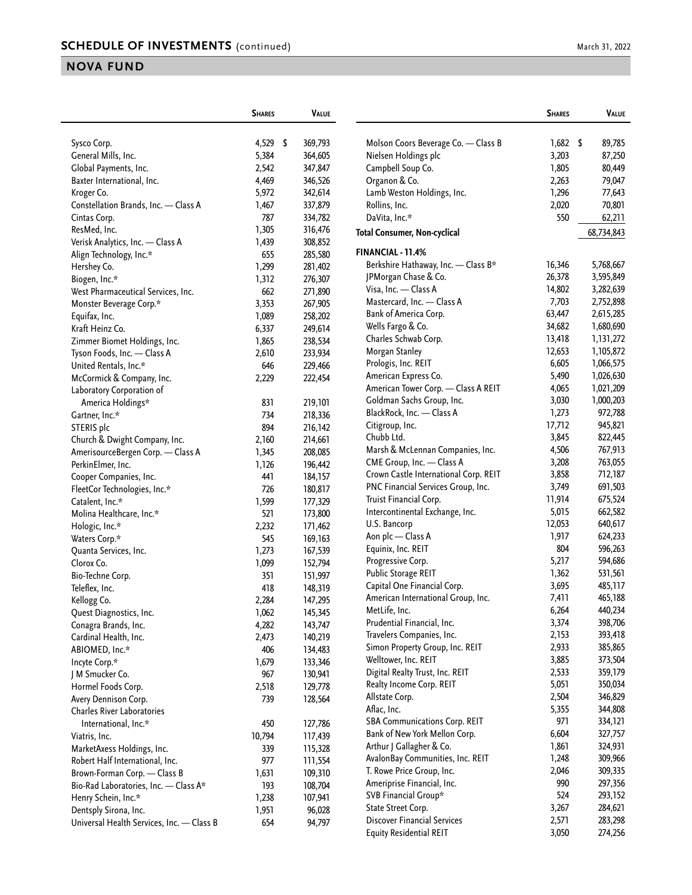|                                           | <b>SHARES</b> | <b>VALUE</b> |                                                              | <b>SHARES</b>  | VALUE              |
|-------------------------------------------|---------------|--------------|--------------------------------------------------------------|----------------|--------------------|
| Sysco Corp.                               | 4,529 \$      | 369,793      | Molson Coors Beverage Co. - Class B                          | $1,682$ \$     | 89,785             |
| General Mills, Inc.                       | 5,384         | 364,605      | Nielsen Holdings plc                                         | 3,203          | 87,250             |
| Global Payments, Inc.                     | 2,542         | 347,847      | Campbell Soup Co.                                            | 1,805          | 80,449             |
| Baxter International, Inc.                | 4,469         | 346,526      | Organon & Co.                                                | 2,263          | 79,047             |
| Kroger Co.                                | 5,972         | 342,614      | Lamb Weston Holdings, Inc.                                   | 1,296          | 77,643             |
| Constellation Brands, Inc. - Class A      | 1,467         | 337,879      | Rollins, Inc.                                                | 2,020          | 70,801             |
| Cintas Corp.                              | 787           | 334,782      | DaVita, Inc.*                                                | 550            | 62,211             |
| ResMed, Inc.                              | 1,305         | 316,476      | <b>Total Consumer, Non-cyclical</b>                          |                | 68,734,843         |
| Verisk Analytics, Inc. - Class A          | 1,439         | 308,852      |                                                              |                |                    |
| Align Technology, Inc.*                   | 655           | 285,580      | FINANCIAL - 11.4%                                            |                |                    |
| Hershey Co.                               | 1,299         | 281,402      | Berkshire Hathaway, Inc. - Class B*                          | 16,346         | 5,768,667          |
| Biogen, Inc.*                             | 1,312         | 276,307      | JPMorgan Chase & Co.                                         | 26,378         | 3,595,849          |
| West Pharmaceutical Services, Inc.        | 662           | 271,890      | Visa, Inc. - Class A                                         | 14,802         | 3,282,639          |
| Monster Beverage Corp.*                   | 3,353         | 267,905      | Mastercard, Inc. - Class A                                   | 7,703          | 2,752,898          |
| Equifax, Inc.                             | 1,089         | 258,202      | Bank of America Corp.                                        | 63,447         | 2,615,285          |
| Kraft Heinz Co.                           | 6,337         | 249,614      | Wells Fargo & Co.                                            | 34,682         | 1,680,690          |
| Zimmer Biomet Holdings, Inc.              | 1,865         | 238,534      | Charles Schwab Corp.                                         | 13,418         | 1,131,272          |
| Tyson Foods, Inc. - Class A               | 2,610         | 233,934      | Morgan Stanley                                               | 12,653         | 1,105,872          |
| United Rentals, Inc.*                     | 646           | 229,466      | Prologis, Inc. REIT                                          | 6,605          | 1,066,575          |
| McCormick & Company, Inc.                 | 2,229         | 222,454      | American Express Co.                                         | 5,490          | 1,026,630          |
| Laboratory Corporation of                 |               |              | American Tower Corp. - Class A REIT                          | 4,065          | 1,021,209          |
| America Holdings*                         | 831           | 219,101      | Goldman Sachs Group, Inc.                                    | 3,030          | 1,000,203          |
| Gartner, Inc.*                            | 734           | 218,336      | BlackRock, Inc. - Class A                                    | 1,273          | 972,788            |
| STERIS plc                                | 894           | 216,142      | Citigroup, Inc.                                              | 17,712         | 945,821            |
| Church & Dwight Company, Inc.             | 2,160         | 214,661      | Chubb Ltd.                                                   | 3,845          | 822,445            |
| AmerisourceBergen Corp. - Class A         | 1,345         | 208,085      | Marsh & McLennan Companies, Inc.                             | 4,506          | 767,913            |
| PerkinElmer, Inc.                         | 1,126         | 196,442      | CME Group, Inc. - Class A                                    | 3,208          | 763,055            |
| Cooper Companies, Inc.                    | 441           | 184,157      | Crown Castle International Corp. REIT                        | 3,858          | 712,187            |
| FleetCor Technologies, Inc.*              | 726           | 180,817      | PNC Financial Services Group, Inc.                           | 3,749          | 691,503            |
| Catalent, Inc.*                           | 1,599         | 177,329      | Truist Financial Corp.                                       | 11,914         | 675,524            |
| Molina Healthcare, Inc.*                  | 521           | 173,800      | Intercontinental Exchange, Inc.                              | 5,015          | 662,582            |
| Hologic, Inc.*                            | 2,232         | 171,462      | U.S. Bancorp                                                 | 12,053         | 640,617            |
| Waters Corp.*                             | 545           | 169,163      | Aon plc - Class A                                            | 1,917          | 624,233            |
| Quanta Services, Inc.                     | 1,273         | 167,539      | Equinix, Inc. REIT                                           | 804            | 596,263            |
| Clorox Co.                                | 1,099         | 152,794      | Progressive Corp.                                            | 5,217          | 594,686            |
| Bio-Techne Corp.                          | 351           | 151,997      | Public Storage REIT                                          | 1,362          | 531,561            |
| Teleflex, Inc.                            | 418           | 148,319      | Capital One Financial Corp.                                  | 3,695<br>7,411 | 485,117            |
| Kellogg Co.                               | 2,284         | 147,295      | American International Group, Inc.<br>MetLife, Inc.          | 6,264          | 465,188<br>440,234 |
| Quest Diagnostics, Inc.                   | 1,062         | 145,345      | Prudential Financial, Inc.                                   | 3,374          | 398,706            |
| Conagra Brands, Inc.                      | 4,282         | 143,747      |                                                              | 2,153          | 393,418            |
| Cardinal Health, Inc.                     | 2,473         | 140,219      | Travelers Companies, Inc.<br>Simon Property Group, Inc. REIT | 2,933          | 385,865            |
| ABIOMED, Inc.*                            | 406           | 134,483      | Welltower, Inc. REIT                                         | 3,885          | 373,504            |
| Incyte Corp.*                             | 1,679         | 133,346      | Digital Realty Trust, Inc. REIT                              | 2,533          |                    |
| J M Smucker Co.                           | 967           | 130,941      | Realty Income Corp. REIT                                     | 5,051          | 359,179<br>350,034 |
| Hormel Foods Corp.                        | 2,518         | 129,778      | Allstate Corp.                                               | 2,504          | 346,829            |
| Avery Dennison Corp.                      | 739           | 128,564      | Aflac, Inc.                                                  | 5,355          | 344,808            |
| <b>Charles River Laboratories</b>         |               |              | <b>SBA Communications Corp. REIT</b>                         | 971            | 334,121            |
| International, Inc.*                      | 450           | 127,786      | Bank of New York Mellon Corp.                                | 6,604          |                    |
| Viatris, Inc.                             | 10,794        | 117,439      | Arthur J Gallagher & Co.                                     | 1,861          | 327,757<br>324,931 |
| MarketAxess Holdings, Inc.                | 339           | 115,328      | AvalonBay Communities, Inc. REIT                             | 1,248          | 309,966            |
| Robert Half International, Inc.           | 977           | 111,554      | T. Rowe Price Group, Inc.                                    | 2,046          | 309,335            |
| Brown-Forman Corp. - Class B              | 1,631         | 109,310      | Ameriprise Financial, Inc.                                   | 990            | 297,356            |
| Bio-Rad Laboratories, Inc. - Class A*     | 193           | 108,704      | SVB Financial Group*                                         | 524            | 293,152            |
| Henry Schein, Inc.*                       | 1,238         | 107,941      | State Street Corp.                                           | 3,267          | 284,621            |
| Dentsply Sirona, Inc.                     | 1,951         | 96,028       | <b>Discover Financial Services</b>                           | 2,571          | 283,298            |
| Universal Health Services, Inc. - Class B | 654           | 94,797       | <b>Equity Residential REIT</b>                               | 3,050          | 274,256            |
|                                           |               |              |                                                              |                |                    |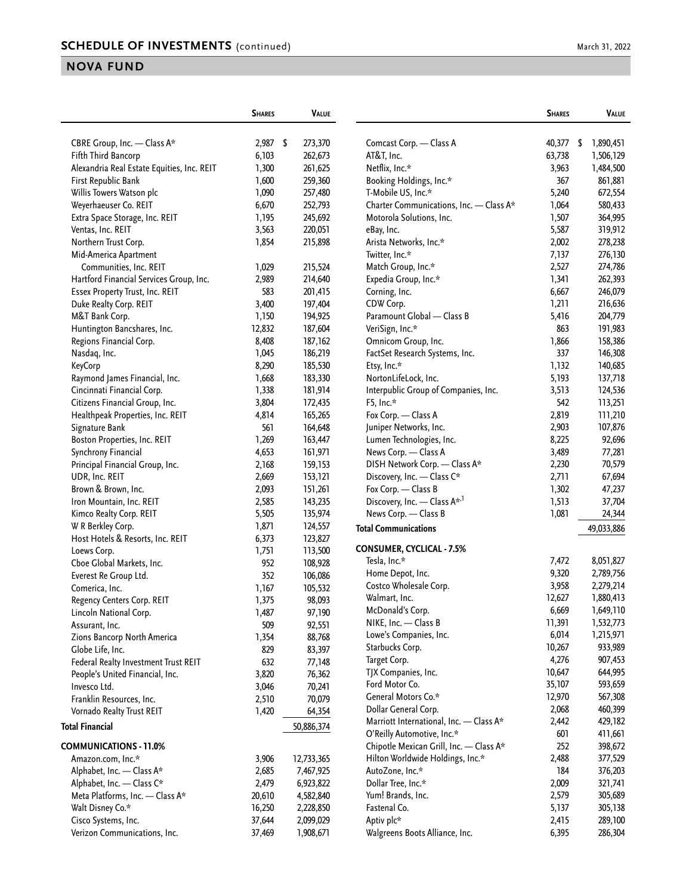|                                               | <b>SHARES</b> | <b>VALUE</b>     |                                          | <b>SHARES</b> | Value      |
|-----------------------------------------------|---------------|------------------|------------------------------------------|---------------|------------|
| CBRE Group, Inc. - Class A*                   | 2,987         | \$<br>273,370    | Comcast Corp. - Class A                  | 40,377 \$     | 1,890,451  |
| Fifth Third Bancorp                           | 6,103         | 262,673          | AT&T, Inc.                               | 63,738        | 1,506,129  |
| Alexandria Real Estate Equities, Inc. REIT    | 1,300         | 261,625          | Netflix, Inc.*                           | 3,963         | 1,484,500  |
| First Republic Bank                           | 1,600         | 259,360          | Booking Holdings, Inc.*                  | 367           | 861,881    |
| Willis Towers Watson plc                      | 1,090         | 257,480          | T-Mobile US, Inc.*                       | 5,240         | 672,554    |
| Weyerhaeuser Co. REIT                         | 6,670         | 252,793          | Charter Communications, Inc. - Class A*  | 1,064         | 580,433    |
| Extra Space Storage, Inc. REIT                | 1,195         | 245,692          | Motorola Solutions, Inc.                 | 1,507         | 364,995    |
| Ventas, Inc. REIT                             | 3,563         | 220,051          | eBay, Inc.                               | 5,587         | 319,912    |
| Northern Trust Corp.                          | 1,854         | 215,898          | Arista Networks, Inc.*                   | 2,002         | 278,238    |
| Mid-America Apartment                         |               |                  | Twitter, Inc.*                           | 7,137         | 276,130    |
| Communities, Inc. REIT                        | 1,029         | 215,524          | Match Group, Inc.*                       | 2,527         | 274,786    |
| Hartford Financial Services Group, Inc.       | 2,989         | 214,640          | Expedia Group, Inc.*                     | 1,341         | 262,393    |
| Essex Property Trust, Inc. REIT               | 583           | 201,415          | Corning, Inc.                            | 6,667         | 246,079    |
| Duke Realty Corp. REIT                        | 3,400         | 197,404          | CDW Corp.                                | 1,211         | 216,636    |
| M&T Bank Corp.                                | 1,150         | 194,925          | Paramount Global - Class B               | 5,416         | 204,779    |
| Huntington Bancshares, Inc.                   | 12,832        | 187,604          | VeriSign, Inc.*                          | 863           | 191,983    |
| Regions Financial Corp.                       | 8,408         | 187,162          | Omnicom Group, Inc.                      | 1,866         | 158,386    |
| Nasdaq, Inc.                                  | 1,045         | 186,219          | FactSet Research Systems, Inc.           | 337           | 146,308    |
| <b>KeyCorp</b>                                | 8,290         | 185,530          | Etsy, Inc.*                              | 1,132         | 140,685    |
| Raymond James Financial, Inc.                 | 1,668         | 183,330          | NortonLifeLock, Inc.                     | 5,193         | 137,718    |
| Cincinnati Financial Corp.                    | 1,338         | 181,914          | Interpublic Group of Companies, Inc.     | 3,513         | 124,536    |
| Citizens Financial Group, Inc.                | 3,804         | 172,435          | F5, Inc.*                                | 542           | 113,251    |
| Healthpeak Properties, Inc. REIT              | 4,814         | 165,265          | Fox Corp. - Class A                      | 2,819         | 111,210    |
| Signature Bank                                | 561           | 164,648          | Juniper Networks, Inc.                   | 2,903         | 107,876    |
| Boston Properties, Inc. REIT                  | 1,269         | 163,447          | Lumen Technologies, Inc.                 | 8,225         | 92,696     |
| Synchrony Financial                           | 4,653         | 161,971          | News Corp. - Class A                     | 3,489         | 77,281     |
| Principal Financial Group, Inc.               | 2,168         | 159,153          | DISH Network Corp. - Class A*            | 2,230         | 70,579     |
| UDR, Inc. REIT                                | 2,669         | 153,121          | Discovery, Inc. - Class C*               | 2,711         | 67,694     |
| Brown & Brown, Inc.                           | 2,093         | 151,261          | Fox Corp. - Class B                      | 1,302         | 47,237     |
| Iron Mountain, Inc. REIT                      | 2,585         | 143,235          | Discovery, Inc. - Class A <sup>*,1</sup> | 1,513         | 37,704     |
| Kimco Realty Corp. REIT                       | 5,505         | 135,974          | News Corp. - Class B                     | 1,081         | 24,344     |
| W R Berkley Corp.                             | 1,871         | 124,557          |                                          |               |            |
| Host Hotels & Resorts, Inc. REIT              | 6,373         | 123,827          | <b>Total Communications</b>              |               | 49,033,886 |
| Loews Corp.                                   | 1,751         | 113,500          | <b>CONSUMER, CYCLICAL - 7.5%</b>         |               |            |
| Cboe Global Markets, Inc.                     | 952           | 108,928          | Tesla, Inc.*                             | 7,472         | 8,051,827  |
| Everest Re Group Ltd.                         | 352           | 106,086          | Home Depot, Inc.                         | 9,320         | 2,789,756  |
| Comerica, Inc.                                | 1,167         | 105,532          | Costco Wholesale Corp.                   | 3,958         | 2,279,214  |
| Regency Centers Corp. REIT                    | 1,375         | 98,093           | Walmart, Inc.                            | 12,627        | 1,880,413  |
|                                               |               |                  | McDonald's Corp.                         | 6,669         | 1,649,110  |
| Lincoln National Corp.                        | 1,487<br>509  | 97,190<br>92,551 | NIKE, Inc. - Class B                     | 11,391        | 1,532,773  |
| Assurant, Inc.<br>Zions Bancorp North America | 1,354         | 88,768           | Lowe's Companies, Inc.                   | 6,014         | 1,215,971  |
|                                               | 829           | 83,397           | Starbucks Corp.                          | 10,267        | 933,989    |
| Globe Life, Inc.                              |               |                  | Target Corp.                             | 4,276         | 907,453    |
| Federal Realty Investment Trust REIT          | 632           | 77,148           | TJX Companies, Inc.                      | 10,647        | 644,995    |
| People's United Financial, Inc.               | 3,820         | 76,362           | Ford Motor Co.                           | 35,107        | 593,659    |
| Invesco Ltd.                                  | 3,046         | 70,241           | General Motors Co.*                      | 12,970        | 567,308    |
| Franklin Resources, Inc.                      | 2,510         | 70,079           | Dollar General Corp.                     | 2,068         | 460,399    |
| Vornado Realty Trust REIT                     | 1,420         | 64,354           | Marriott International, Inc. - Class A*  | 2,442         | 429,182    |
| <b>Total Financial</b>                        |               | 50,886,374       | O'Reilly Automotive, Inc.*               | 601           | 411,661    |
| <b>COMMUNICATIONS - 11.0%</b>                 |               |                  | Chipotle Mexican Grill, Inc. - Class A*  | 252           | 398,672    |
| Amazon.com, Inc.*                             | 3,906         | 12,733,365       | Hilton Worldwide Holdings, Inc.*         | 2,488         | 377,529    |
| Alphabet, Inc. - Class A*                     | 2,685         | 7,467,925        | AutoZone, Inc.*                          | 184           | 376,203    |
| Alphabet, Inc. - Class C*                     | 2,479         | 6,923,822        | Dollar Tree, Inc.*                       | 2,009         | 321,741    |
| Meta Platforms, Inc. - Class A*               | 20,610        | 4,582,840        | Yum! Brands, Inc.                        | 2,579         | 305,689    |
| Walt Disney Co.*                              | 16,250        | 2,228,850        | Fastenal Co.                             | 5,137         | 305,138    |
| Cisco Systems, Inc.                           | 37,644        | 2,099,029        | Aptiv plc*                               | 2,415         | 289,100    |
| Verizon Communications, Inc.                  | 37,469        | 1,908,671        | Walgreens Boots Alliance, Inc.           | 6,395         | 286,304    |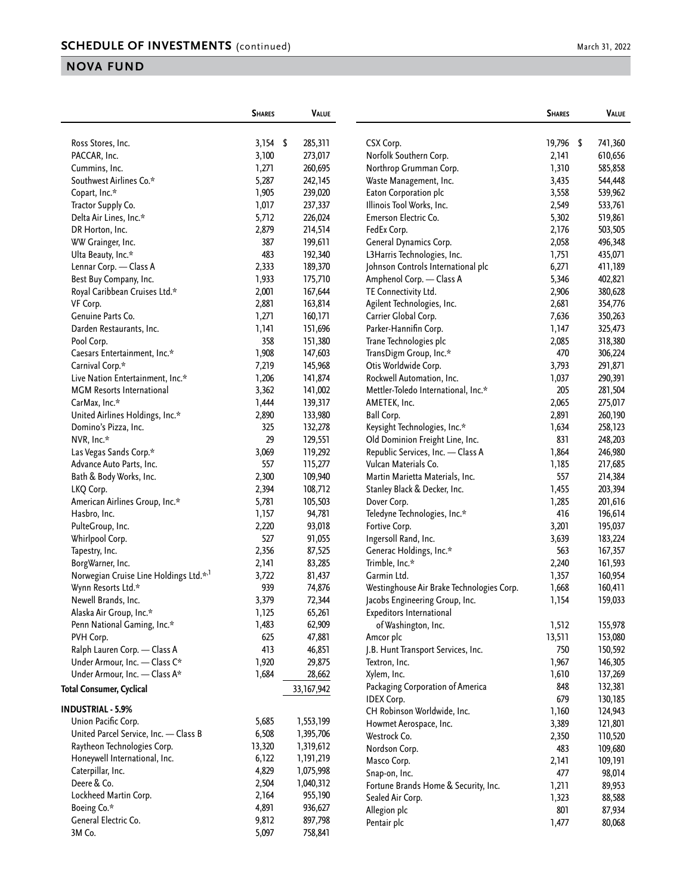| March 31. 2022 |  |  |
|----------------|--|--|
|                |  |  |

|                                                    | <b>SHARES</b> | <b>VALUE</b> |                                           | <b>SHARES</b> | VALUE   |
|----------------------------------------------------|---------------|--------------|-------------------------------------------|---------------|---------|
| Ross Stores, Inc.                                  | $3,154$ \$    | 285,311      | CSX Corp.                                 | 19,796 \$     | 741,360 |
| PACCAR, Inc.                                       | 3,100         | 273,017      | Norfolk Southern Corp.                    | 2,141         | 610,656 |
| Cummins, Inc.                                      | 1,271         | 260,695      | Northrop Grumman Corp.                    | 1,310         | 585,858 |
| Southwest Airlines Co.*                            | 5,287         | 242,145      | Waste Management, Inc.                    | 3,435         | 544,448 |
| Copart, Inc.*                                      | 1,905         | 239,020      | Eaton Corporation plc                     | 3,558         | 539,962 |
| Tractor Supply Co.                                 | 1,017         | 237,337      | Illinois Tool Works, Inc.                 | 2,549         | 533,761 |
| Delta Air Lines, Inc.*                             | 5,712         | 226,024      | Emerson Electric Co.                      | 5,302         | 519,861 |
| DR Horton, Inc.                                    | 2,879         | 214,514      | FedEx Corp.                               | 2,176         | 503,505 |
| WW Grainger, Inc.                                  | 387           | 199,611      | General Dynamics Corp.                    | 2,058         | 496,348 |
| Ulta Beauty, Inc.*                                 | 483           | 192,340      | L3Harris Technologies, Inc.               | 1,751         | 435,071 |
| Lennar Corp. - Class A                             | 2,333         | 189,370      | Johnson Controls International plc        | 6,271         | 411,189 |
| Best Buy Company, Inc.                             | 1,933         | 175,710      | Amphenol Corp. - Class A                  | 5,346         | 402,821 |
| Royal Caribbean Cruises Ltd.*                      | 2,001         | 167,644      | TE Connectivity Ltd.                      | 2,906         | 380,628 |
| VF Corp.                                           | 2,881         | 163,814      | Agilent Technologies, Inc.                | 2,681         | 354,776 |
| Genuine Parts Co.                                  | 1,271         | 160,171      | Carrier Global Corp.                      | 7,636         | 350,263 |
| Darden Restaurants, Inc.                           | 1,141         | 151,696      | Parker-Hannifin Corp.                     | 1,147         | 325,473 |
| Pool Corp.                                         | 358           | 151,380      | Trane Technologies plc                    | 2,085         | 318,380 |
| Caesars Entertainment, Inc.*                       | 1,908         | 147,603      | TransDigm Group, Inc.*                    | 470           | 306,224 |
| Carnival Corp.*                                    | 7,219         | 145,968      | Otis Worldwide Corp.                      | 3,793         | 291,871 |
| Live Nation Entertainment, Inc.*                   | 1,206         | 141,874      | Rockwell Automation, Inc.                 | 1,037         | 290,391 |
| <b>MGM</b> Resorts International                   | 3,362         | 141,002      | Mettler-Toledo International, Inc.*       | 205           | 281,504 |
| CarMax, Inc.*                                      | 1,444         | 139,317      | AMETEK, Inc.                              | 2,065         | 275,017 |
| United Airlines Holdings, Inc.*                    | 2,890         | 133,980      | <b>Ball Corp.</b>                         | 2,891         | 260,190 |
| Domino's Pizza, Inc.                               | 325           | 132,278      | Keysight Technologies, Inc.*              | 1,634         | 258,123 |
| NVR, Inc.*                                         | 29            | 129,551      | Old Dominion Freight Line, Inc.           | 831           | 248,203 |
| Las Vegas Sands Corp.*                             | 3,069         | 119,292      | Republic Services, Inc. - Class A         | 1,864         | 246,980 |
| Advance Auto Parts, Inc.                           | 557           | 115,277      | Vulcan Materials Co.                      | 1,185         | 217,685 |
| Bath & Body Works, Inc.                            | 2,300         | 109,940      | Martin Marietta Materials, Inc.           | 557           | 214,384 |
| LKQ Corp.                                          | 2,394         | 108,712      | Stanley Black & Decker, Inc.              | 1,455         | 203,394 |
| American Airlines Group, Inc.*                     | 5,781         | 105,503      | Dover Corp.                               | 1,285         | 201,616 |
| Hasbro, Inc.                                       | 1,157         | 94,781       | Teledyne Technologies, Inc.*              | 416           | 196,614 |
| PulteGroup, Inc.                                   | 2,220         | 93,018       | Fortive Corp.                             | 3,201         | 195,037 |
| Whirlpool Corp.                                    | 527           | 91,055       | Ingersoll Rand, Inc.                      | 3,639         | 183,224 |
| Tapestry, Inc.                                     | 2,356         | 87,525       | Generac Holdings, Inc.*                   | 563           | 167,357 |
| BorgWarner, Inc.                                   | 2,141         | 83,285       | Trimble, Inc.*                            | 2,240         | 161,593 |
| Norwegian Cruise Line Holdings Ltd.* <sup>,1</sup> | 3,722         | 81,437       | Garmin Ltd.                               | 1,357         | 160,954 |
| Wynn Resorts Ltd.*                                 | 939           | 74,876       | Westinghouse Air Brake Technologies Corp. | 1,668         | 160,411 |
| Newell Brands, Inc.                                | 3,379         | 72,344       | Jacobs Engineering Group, Inc.            | 1,154         | 159,033 |
| Alaska Air Group, Inc.*                            | 1,125         | 65,261       | Expeditors International                  |               |         |
| Penn National Gaming, Inc.*                        | 1,483         | 62,909       | of Washington, Inc.                       | 1,512         | 155,978 |
| PVH Corp.                                          | 625           | 47,881       | Amcor plc                                 | 13,511        | 153,080 |
| Ralph Lauren Corp. - Class A                       | 413           | 46,851       | J.B. Hunt Transport Services, Inc.        | 750           | 150,592 |
| Under Armour, Inc. - Class C*                      | 1,920         | 29,875       | Textron, Inc.                             | 1,967         | 146,305 |
| Under Armour, Inc. - Class A*                      | 1,684         | 28,662       | Xylem, Inc.                               | 1,610         | 137,269 |
| <b>Total Consumer, Cyclical</b>                    |               | 33, 167, 942 | Packaging Corporation of America          | 848           | 132,381 |
|                                                    |               |              | <b>IDEX Corp.</b>                         | 679           | 130,185 |
| <b>INDUSTRIAL - 5.9%</b>                           |               |              | CH Robinson Worldwide, Inc.               | 1,160         | 124,943 |
| Union Pacific Corp.                                | 5,685         | 1,553,199    | Howmet Aerospace, Inc.                    | 3,389         | 121,801 |
| United Parcel Service, Inc. - Class B              | 6,508         | 1,395,706    | Westrock Co.                              | 2,350         | 110,520 |
| Raytheon Technologies Corp.                        | 13,320        | 1,319,612    | Nordson Corp.                             | 483           | 109,680 |
| Honeywell International, Inc.                      | 6,122         | 1,191,219    | Masco Corp.                               | 2,141         | 109,191 |
| Caterpillar, Inc.                                  | 4,829         | 1,075,998    | Snap-on, Inc.                             | 477           | 98,014  |
| Deere & Co.                                        | 2,504         | 1,040,312    | Fortune Brands Home & Security, Inc.      | 1,211         | 89,953  |
| Lockheed Martin Corp.                              | 2,164         | 955,190      | Sealed Air Corp.                          | 1,323         | 88,588  |
| Boeing Co.*                                        | 4,891         | 936,627      | Allegion plc                              | 801           | 87,934  |
| General Electric Co.                               | 9,812         | 897,798      | Pentair plc                               | 1,477         | 80,068  |
| 3M Co.                                             | 5,097         | 758,841      |                                           |               |         |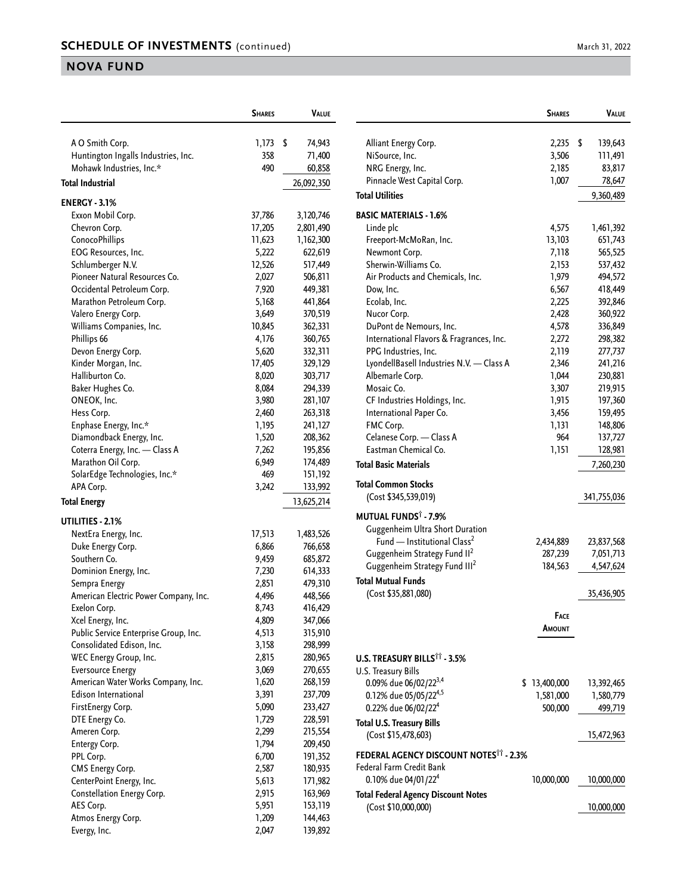|                                       | <b>SHARES</b> | VALUE        |
|---------------------------------------|---------------|--------------|
| A O Smith Corp.                       | 1,173         | \$<br>74,943 |
| Huntington Ingalls Industries, Inc.   | 358           | 71,400       |
| Mohawk Industries, Inc.*              | 490           | 60,858       |
| <b>Total Industrial</b>               |               |              |
|                                       |               | 26,092,350   |
| <b>ENERGY - 3.1%</b>                  |               |              |
| Exxon Mobil Corp.                     | 37,786        | 3,120,746    |
| Chevron Corp.                         | 17,205        | 2,801,490    |
| ConocoPhillips                        | 11,623        | 1,162,300    |
| EOG Resources, Inc.                   | 5,222         | 622,619      |
| Schlumberger N.V.                     | 12,526        | 517,449      |
| Pioneer Natural Resources Co.         | 2,027         | 506,811      |
| Occidental Petroleum Corp.            | 7,920         | 449,381      |
| Marathon Petroleum Corp.              | 5,168         | 441,864      |
| Valero Energy Corp.                   | 3,649         | 370,519      |
| Williams Companies, Inc.              | 10,845        | 362,331      |
| Phillips 66                           | 4,176         | 360,765      |
| Devon Energy Corp.                    | 5,620         | 332,311      |
| Kinder Morgan, Inc.                   | 17,405        | 329,129      |
| Halliburton Co.                       | 8,020         | 303,717      |
| Baker Hughes Co.                      | 8,084         | 294,339      |
| ONEOK, Inc.                           | 3,980         | 281,107      |
| Hess Corp.                            | 2,460         | 263,318      |
| Enphase Energy, Inc.*                 | 1,195         | 241,127      |
| Diamondback Energy, Inc.              | 1,520         | 208,362      |
| Coterra Energy, Inc. - Class A        | 7,262         | 195,856      |
| Marathon Oil Corp.                    | 6,949         | 174,489      |
| SolarEdge Technologies, Inc.*         | 469           | 151,192      |
| APA Corp.                             | 3,242         | 133,992      |
| Total Energy                          |               | 13,625,214   |
| UTILITIES - 2.1%                      |               |              |
| NextEra Energy, Inc.                  | 17,513        | 1,483,526    |
| Duke Energy Corp.                     | 6,866         | 766,658      |
| Southern Co.                          | 9,459         | 685,872      |
| Dominion Energy, Inc.                 | 7,230         | 614,333      |
| Sempra Energy                         | 2,851         | 479,310      |
| American Electric Power Company, Inc. | 4,496         | 448,566      |
| Exelon Corp.                          | 8,743         | 416,429      |
| Xcel Energy, Inc.                     | 4,809         | 347,066      |
| Public Service Enterprise Group, Inc. | 4,513         | 315,910      |
| Consolidated Edison, Inc.             | 3,158         | 298,999      |
| WEC Energy Group, Inc.                | 2,815         | 280,965      |
| <b>Eversource Energy</b>              | 3,069         | 270,655      |
| American Water Works Company, Inc.    | 1,620         | 268,159      |
| <b>Edison International</b>           | 3,391         | 237,709      |
| FirstEnergy Corp.                     | 5,090         | 233,427      |
| DTE Energy Co.                        | 1,729         | 228,591      |
| Ameren Corp.                          | 2,299         | 215,554      |
| Entergy Corp.                         | 1,794         | 209,450      |
| PPL Corp.                             | 6,700         | 191,352      |
| CMS Energy Corp.                      | 2,587         | 180,935      |
| CenterPoint Energy, Inc.              | 5,613         | 171,982      |
| Constellation Energy Corp.            | 2,915         | 163,969      |
| AES Corp.                             | 5,951         | 153,119      |
| Atmos Energy Corp.                    | 1,209         | 144,463      |
| Evergy, Inc.                          | 2,047         | 139,892      |

|                                                         | <b>SHARES</b> | Value         |
|---------------------------------------------------------|---------------|---------------|
| Alliant Energy Corp.                                    | 2,235         | \$<br>139,643 |
| NiSource, Inc.                                          | 3,506         | 111,491       |
| NRG Energy, Inc.                                        | 2,185         | 83,817        |
| Pinnacle West Capital Corp.                             | 1,007         | 78,647        |
| <b>Total Utilities</b>                                  |               | 9,360,489     |
|                                                         |               |               |
| <b>BASIC MATERIALS - 1.6%</b>                           |               |               |
| Linde plc                                               | 4,575         | 1,461,392     |
| Freeport-McMoRan, Inc.                                  | 13,103        | 651,743       |
| Newmont Corp.                                           | 7,118         | 565,525       |
| Sherwin-Williams Co.                                    | 2,153         | 537,432       |
| Air Products and Chemicals, Inc.                        | 1,979         | 494,572       |
| Dow, Inc.                                               | 6,567         | 418,449       |
| Ecolab, Inc.                                            | 2,225         | 392,846       |
| Nucor Corp.                                             | 2,428         | 360,922       |
| DuPont de Nemours, Inc.                                 | 4,578         | 336,849       |
| International Flavors & Fragrances, Inc.                | 2,272         | 298,382       |
| PPG Industries, Inc.                                    | 2,119         | 277,737       |
| LyondellBasell Industries N.V. - Class A                | 2,346         | 241,216       |
| Albemarle Corp.                                         | 1,044         | 230,881       |
| Mosaic Co.                                              | 3,307         | 219,915       |
| CF Industries Holdings, Inc.                            | 1,915         | 197,360       |
| International Paper Co.                                 | 3,456         | 159,495       |
| FMC Corp.                                               | 1,131         | 148,806       |
| Celanese Corp. - Class A                                | 964           | 137,727       |
| Eastman Chemical Co.                                    | 1,151         | 128,981       |
| <b>Total Basic Materials</b>                            |               | 7,260,230     |
| <b>Total Common Stocks</b>                              |               |               |
| (Cost \$345,539,019)                                    |               | 341,755,036   |
| <b>MUTUAL FUNDS</b> Ť - 7.9%                            |               |               |
| Guggenheim Ultra Short Duration                         |               |               |
| Fund - Institutional Class <sup>2</sup>                 | 2,434,889     | 23,837,568    |
| Guggenheim Strategy Fund II <sup>2</sup>                | 287,239       | 7,051,713     |
| Guggenheim Strategy Fund III <sup>2</sup>               | 184,563       | 4,547,624     |
| <b>Total Mutual Funds</b>                               |               |               |
| (Cost \$35,881,080)                                     |               | 35,436,905    |
|                                                         | <b>FACE</b>   |               |
|                                                         | Amount        |               |
|                                                         |               |               |
| <b>U.S. TREASURY BILLS<sup>TT</sup> - 3.5%</b>          |               |               |
| U.S. Treasury Bills                                     |               |               |
| 0.09% due 06/02/22 <sup>3,4</sup><br>\$                 | 13,400,000    | 13,392,465    |
| 0.12% due 05/05/22 <sup>4,5</sup>                       | 1,581,000     | 1,580,779     |
| 0.22% due 06/02/22 <sup>4</sup>                         | 500,000       | 499,719       |
|                                                         |               |               |
| <b>Total U.S. Treasury Bills</b><br>(Cost \$15,478,603) |               | 15,472,963    |
| FEDERAL AGENCY DISCOUNT NOTES <sup>11</sup> - 2.3%      |               |               |
| Federal Farm Credit Bank                                |               |               |
| 0.10% due 04/01/22 <sup>4</sup>                         | 10,000,000    | 10,000,000    |
| <b>Total Federal Agency Discount Notes</b>              |               |               |
| (Cost \$10,000,000)                                     |               | 10,000,000    |